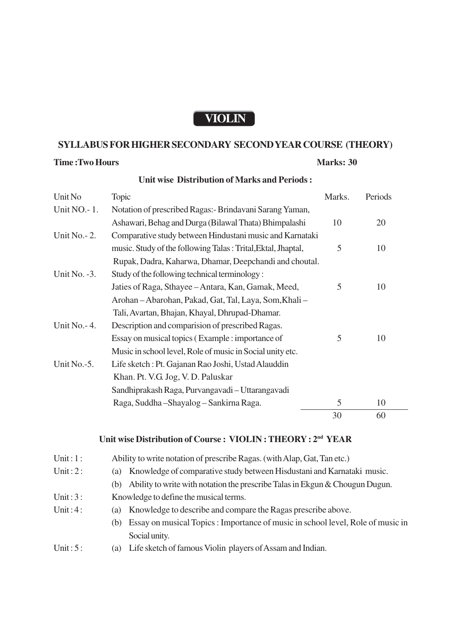## **VIOLIN**

#### **SYLLABUS FOR HIGHER SECONDARY SECOND YEAR COURSE (THEORY)**

#### **Time :Two Hours Marks: 30**

| Unit No          | Topic                                                        | Marks. | Periods |
|------------------|--------------------------------------------------------------|--------|---------|
| Unit NO.-1.      | Notation of prescribed Ragas: - Brindavani Sarang Yaman,     |        |         |
|                  | Ashawari, Behag and Durga (Bilawal Thata) Bhimpalashi        | 10     | 20      |
| Unit $No. - 2$ . | Comparative study between Hindustani music and Karnataki     |        |         |
|                  | music. Study of the following Talas: Trital, Ektal, Jhaptal, | 5      | 10      |
|                  | Rupak, Dadra, Kaharwa, Dhamar, Deepchandi and choutal.       |        |         |
| Unit No. $-3$ .  | Study of the following technical terminology:                |        |         |
|                  | Jaties of Raga, Sthayee – Antara, Kan, Gamak, Meed,          | 5      | 10      |
|                  | Arohan – Abarohan, Pakad, Gat, Tal, Laya, Som, Khali –       |        |         |
|                  | Tali, Avartan, Bhajan, Khayal, Dhrupad-Dhamar.               |        |         |
| Unit No. - 4.    | Description and comparision of prescribed Ragas.             |        |         |
|                  | Essay on musical topics (Example: importance of              | 5      | 10      |
|                  | Music in school level, Role of music in Social unity etc.    |        |         |
| Unit No.-5.      | Life sketch: Pt. Gajanan Rao Joshi, Ustad Alauddin           |        |         |
|                  | Khan. Pt. V.G. Jog, V. D. Paluskar                           |        |         |
|                  | Sandhiprakash Raga, Purvangavadi - Uttarangavadi             |        |         |
|                  | Raga, Suddha - Shayalog - Sankirna Raga.                     | 5      | 10      |
|                  |                                                              | 30     | 60      |

#### **Unit wise Distribution of Marks and Periods :**

## **Unit wise Distribution of Course : VIOLIN : THEORY : 2nd YEAR**

Unit : 1 : Ability to write notation of prescribe Ragas. (with Alap, Gat, Tan etc.)

- Unit : 2 : (a) Knowledge of comparative study between Hisdustani and Karnataki music.
	- (b) Ability to write with notation the prescribe Talas in Ekgun & Chougun Dugun.
- Unit : 3 : Knowledge to define the musical terms.
- Unit : 4 : (a) Knowledge to describe and compare the Ragas prescribe above.
	- (b) Essay on musical Topics : Importance of music in school level, Role of music in Social unity.
- Unit : 5 : (a) Life sketch of famous Violin players of Assam and Indian.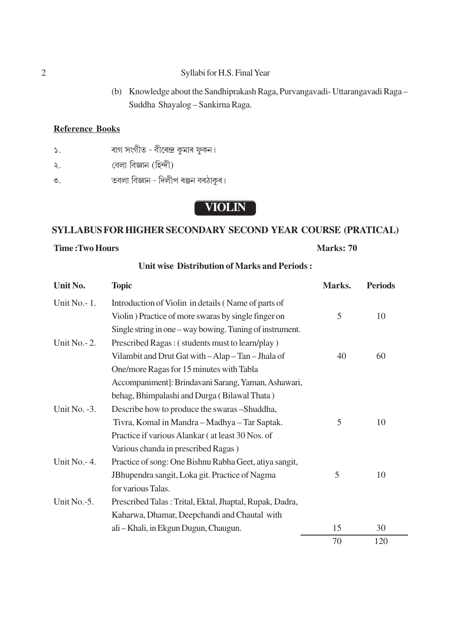## 2 Syllabi for H.S. Final Year

(b) Knowledge about the Sandhiprakash Raga, Purvangavadi- Uttarangavadi Raga – Suddha Shayalog – Sankirna Raga.

## **Reference Books**

| Σ. | ৰাগ সংগীত - বীৰেন্দ্ৰ কুমাৰ ফুকন।   |
|----|-------------------------------------|
| ২. | বেলা বিজ্ঞান (হিন্দী)               |
| ৩. | তবলা বিজ্ঞান - দিলীপ ৰঞ্জন বৰঠাকুৰ। |

# **VIOLIN**

# **SYLLABUS FOR HIGHER SECONDARY SECOND YEAR COURSE (PRATICAL)**

#### **Time : Two Hours Marks: 70**

| Unit No.         | <b>Topic</b>                                             | Marks. | <b>Periods</b> |
|------------------|----------------------------------------------------------|--------|----------------|
| Unit No. $-1$ .  | Introduction of Violin in details (Name of parts of      |        |                |
|                  | Violin) Practice of more swaras by single finger on      | 5      | 10             |
|                  | Single string in one – way bowing. Tuning of instrument. |        |                |
| Unit $No. - 2$ . | Prescribed Ragas: (students must to learn/play)          |        |                |
|                  | Vilambit and Drut Gat with - Alap - Tan - Jhala of       | 40     | 60             |
|                  | One/more Ragas for 15 minutes with Tabla                 |        |                |
|                  | Accompaniment]: Brindavani Sarang, Yaman, Ashawari,      |        |                |
|                  | behag, Bhimpalashi and Durga (Bilawal Thata)             |        |                |
| Unit No. -3.     | Describe how to produce the swaras -Shuddha,             |        |                |
|                  | Tivra, Komal in Mandra - Madhya - Tar Saptak.            | 5      | 10             |
|                  | Practice if various Alankar (at least 30 Nos. of         |        |                |
|                  | Various chanda in prescribed Ragas)                      |        |                |
| Unit No. - 4.    | Practice of song: One Bishnu Rabha Geet, atiya sangit,   |        |                |
|                  | JBhupendra sangit, Loka git. Practice of Nagma           | 5      | 10             |
|                  | for various Talas.                                       |        |                |
| Unit No.-5.      | Prescribed Talas: Trital, Ektal, Jhaptal, Rupak, Dadra,  |        |                |
|                  | Kaharwa, Dhamar, Deepchandi and Chautal with             |        |                |
|                  | ali – Khali, in Ekgun Dugun, Chaugun.                    | 15     | 30             |
|                  |                                                          | 70     | 120            |

## **Unit wise Distribution of Marks and Periods :**